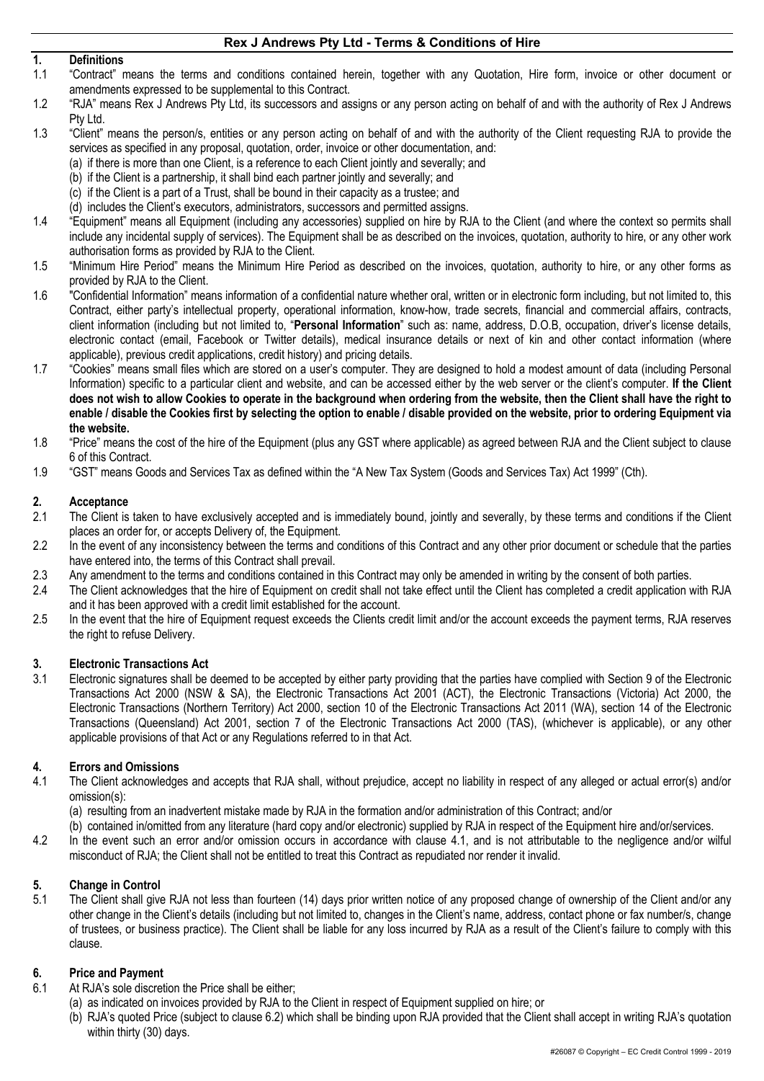# **1. Definitions**

- 1.1 "Contract" means the terms and conditions contained herein, together with any Quotation, Hire form, invoice or other document or amendments expressed to be supplemental to this Contract.
- 1.2 "RJA" means Rex J Andrews Pty Ltd, its successors and assigns or any person acting on behalf of and with the authority of Rex J Andrews Pty Ltd.
- 1.3 "Client" means the person/s, entities or any person acting on behalf of and with the authority of the Client requesting RJA to provide the services as specified in any proposal, quotation, order, invoice or other documentation, and:
	- (a) if there is more than one Client, is a reference to each Client jointly and severally; and
	- (b) if the Client is a partnership, it shall bind each partner jointly and severally; and
	- (c) if the Client is a part of a Trust, shall be bound in their capacity as a trustee; and
	- (d) includes the Client's executors, administrators, successors and permitted assigns.
- 1.4 "Equipment" means all Equipment (including any accessories) supplied on hire by RJA to the Client (and where the context so permits shall include any incidental supply of services). The Equipment shall be as described on the invoices, quotation, authority to hire, or any other work authorisation forms as provided by RJA to the Client.
- 1.5 "Minimum Hire Period" means the Minimum Hire Period as described on the invoices, quotation, authority to hire, or any other forms as provided by RJA to the Client.
- 1.6 "Confidential Information" means information of a confidential nature whether oral, written or in electronic form including, but not limited to, this Contract, either party's intellectual property, operational information, know-how, trade secrets, financial and commercial affairs, contracts, client information (including but not limited to, "**Personal Information**" such as: name, address, D.O.B, occupation, driver's license details, electronic contact (email, Facebook or Twitter details), medical insurance details or next of kin and other contact information (where applicable), previous credit applications, credit history) and pricing details.
- 1.7 "Cookies" means small files which are stored on a user's computer. They are designed to hold a modest amount of data (including Personal Information) specific to a particular client and website, and can be accessed either by the web server or the client's computer. **If the Client does not wish to allow Cookies to operate in the background when ordering from the website, then the Client shall have the right to enable / disable the Cookies first by selecting the option to enable / disable provided on the website, prior to ordering Equipment via the website.**
- 1.8 "Price" means the cost of the hire of the Equipment (plus any GST where applicable) as agreed between RJA and the Client subject to clause 6 of this Contract.
- 1.9 "GST" means Goods and Services Tax as defined within the "A New Tax System (Goods and Services Tax) Act 1999" (Cth).

## **2. Acceptance**

- 2.1 The Client is taken to have exclusively accepted and is immediately bound, jointly and severally, by these terms and conditions if the Client places an order for, or accepts Delivery of, the Equipment.
- 2.2 In the event of any inconsistency between the terms and conditions of this Contract and any other prior document or schedule that the parties have entered into, the terms of this Contract shall prevail.
- 2.3 Any amendment to the terms and conditions contained in this Contract may only be amended in writing by the consent of both parties.
- 2.4 The Client acknowledges that the hire of Equipment on credit shall not take effect until the Client has completed a credit application with RJA and it has been approved with a credit limit established for the account.
- 2.5 In the event that the hire of Equipment request exceeds the Clients credit limit and/or the account exceeds the payment terms, RJA reserves the right to refuse Delivery.

## **3. Electronic Transactions Act**

3.1 Electronic signatures shall be deemed to be accepted by either party providing that the parties have complied with Section 9 of the Electronic Transactions Act 2000 (NSW & SA), the Electronic Transactions Act 2001 (ACT), the Electronic Transactions (Victoria) Act 2000, the Electronic Transactions (Northern Territory) Act 2000, section 10 of the Electronic Transactions Act 2011 (WA), section 14 of the Electronic Transactions (Queensland) Act 2001, section 7 of the Electronic Transactions Act 2000 (TAS), (whichever is applicable), or any other applicable provisions of that Act or any Regulations referred to in that Act.

## **4. Errors and Omissions**

- 4.1 The Client acknowledges and accepts that RJA shall, without prejudice, accept no liability in respect of any alleged or actual error(s) and/or omission(s):
	- (a) resulting from an inadvertent mistake made by RJA in the formation and/or administration of this Contract; and/or
	- (b) contained in/omitted from any literature (hard copy and/or electronic) supplied by RJA in respect of the Equipment hire and/or/services.
- 4.2 In the event such an error and/or omission occurs in accordance with clause 4.1, and is not attributable to the negligence and/or wilful misconduct of RJA; the Client shall not be entitled to treat this Contract as repudiated nor render it invalid.

#### **5. Change in Control**

5.1 The Client shall give RJA not less than fourteen (14) days prior written notice of any proposed change of ownership of the Client and/or any other change in the Client's details (including but not limited to, changes in the Client's name, address, contact phone or fax number/s, change of trustees, or business practice). The Client shall be liable for any loss incurred by RJA as a result of the Client's failure to comply with this clause.

## **6. Price and Payment**

- 6.1 At RJA's sole discretion the Price shall be either;
	- (a) as indicated on invoices provided by RJA to the Client in respect of Equipment supplied on hire; or
	- (b) RJA's quoted Price (subject to clause 6.2) which shall be binding upon RJA provided that the Client shall accept in writing RJA's quotation within thirty (30) days.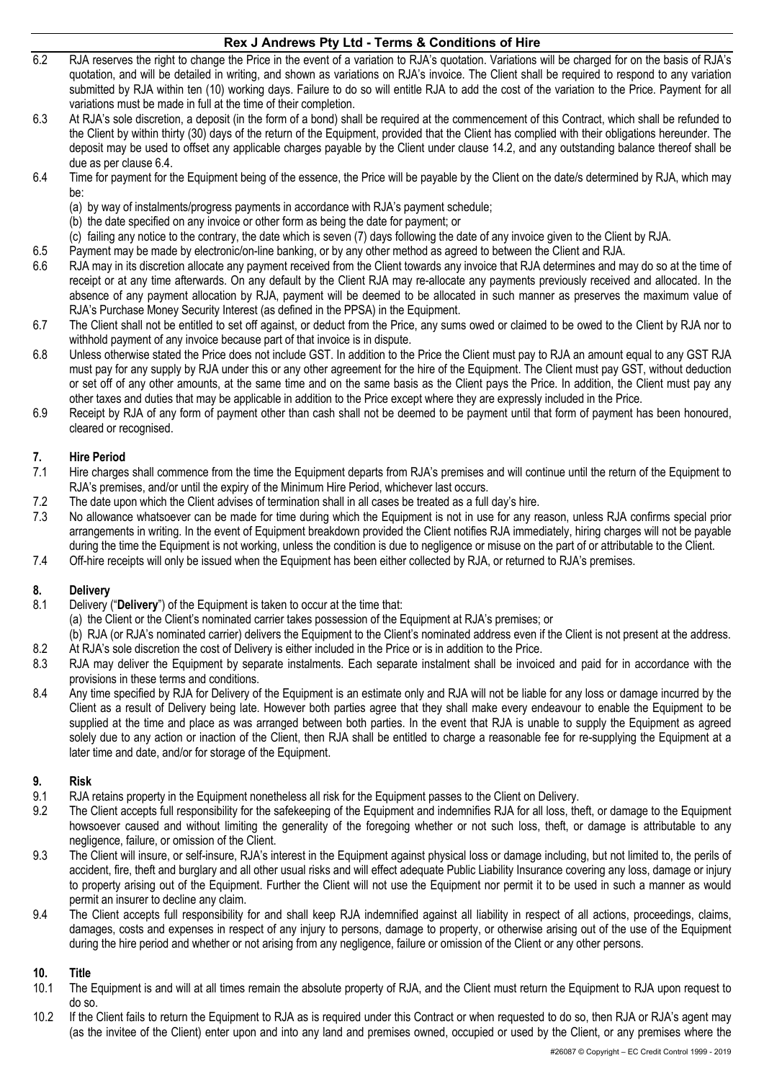- 6.2 RJA reserves the right to change the Price in the event of a variation to RJA's quotation. Variations will be charged for on the basis of RJA's quotation, and will be detailed in writing, and shown as variations on RJA's invoice. The Client shall be required to respond to any variation submitted by RJA within ten (10) working days. Failure to do so will entitle RJA to add the cost of the variation to the Price. Payment for all variations must be made in full at the time of their completion.
- 6.3 At RJA's sole discretion, a deposit (in the form of a bond) shall be required at the commencement of this Contract, which shall be refunded to the Client by within thirty (30) days of the return of the Equipment, provided that the Client has complied with their obligations hereunder. The deposit may be used to offset any applicable charges payable by the Client under clause 14.2, and any outstanding balance thereof shall be due as per clause 6.4.
- 6.4 Time for payment for the Equipment being of the essence, the Price will be payable by the Client on the date/s determined by RJA, which may be:
	- (a) by way of instalments/progress payments in accordance with RJA's payment schedule;
	- (b) the date specified on any invoice or other form as being the date for payment; or
	- (c) failing any notice to the contrary, the date which is seven (7) days following the date of any invoice given to the Client by RJA.
- 6.5 Payment may be made by electronic/on-line banking, or by any other method as agreed to between the Client and RJA.
- 6.6 RJA may in its discretion allocate any payment received from the Client towards any invoice that RJA determines and may do so at the time of receipt or at any time afterwards. On any default by the Client RJA may re-allocate any payments previously received and allocated. In the absence of any payment allocation by RJA, payment will be deemed to be allocated in such manner as preserves the maximum value of RJA's Purchase Money Security Interest (as defined in the PPSA) in the Equipment.
- 6.7 The Client shall not be entitled to set off against, or deduct from the Price, any sums owed or claimed to be owed to the Client by RJA nor to withhold payment of any invoice because part of that invoice is in dispute.
- 6.8 Unless otherwise stated the Price does not include GST. In addition to the Price the Client must pay to RJA an amount equal to any GST RJA must pay for any supply by RJA under this or any other agreement for the hire of the Equipment. The Client must pay GST, without deduction or set off of any other amounts, at the same time and on the same basis as the Client pays the Price. In addition, the Client must pay any other taxes and duties that may be applicable in addition to the Price except where they are expressly included in the Price.
- 6.9 Receipt by RJA of any form of payment other than cash shall not be deemed to be payment until that form of payment has been honoured, cleared or recognised.

#### **7. Hire Period**

- 7.1 Hire charges shall commence from the time the Equipment departs from RJA's premises and will continue until the return of the Equipment to RJA's premises, and/or until the expiry of the Minimum Hire Period, whichever last occurs.
- 7.2 The date upon which the Client advises of termination shall in all cases be treated as a full day's hire.
- 7.3 No allowance whatsoever can be made for time during which the Equipment is not in use for any reason, unless RJA confirms special prior arrangements in writing. In the event of Equipment breakdown provided the Client notifies RJA immediately, hiring charges will not be payable during the time the Equipment is not working, unless the condition is due to negligence or misuse on the part of or attributable to the Client.
- 7.4 Off-hire receipts will only be issued when the Equipment has been either collected by RJA, or returned to RJA's premises.

#### **8. Delivery**

- 8.1 Delivery ("**Delivery**") of the Equipment is taken to occur at the time that:
	- (a) the Client or the Client's nominated carrier takes possession of the Equipment at RJA's premises; or
- (b) RJA (or RJA's nominated carrier) delivers the Equipment to the Client's nominated address even if the Client is not present at the address. 8.2 At RJA's sole discretion the cost of Delivery is either included in the Price or is in addition to the Price.
- 8.3 RJA may deliver the Equipment by separate instalments. Each separate instalment shall be invoiced and paid for in accordance with the provisions in these terms and conditions.
- 8.4 Any time specified by RJA for Delivery of the Equipment is an estimate only and RJA will not be liable for any loss or damage incurred by the Client as a result of Delivery being late. However both parties agree that they shall make every endeavour to enable the Equipment to be supplied at the time and place as was arranged between both parties. In the event that RJA is unable to supply the Equipment as agreed solely due to any action or inaction of the Client, then RJA shall be entitled to charge a reasonable fee for re-supplying the Equipment at a later time and date, and/or for storage of the Equipment.

#### **9. Risk**

- 9.1 RJA retains property in the Equipment nonetheless all risk for the Equipment passes to the Client on Delivery.
- 9.2 The Client accepts full responsibility for the safekeeping of the Equipment and indemnifies RJA for all loss, theft, or damage to the Equipment howsoever caused and without limiting the generality of the foregoing whether or not such loss, theft, or damage is attributable to any negligence, failure, or omission of the Client.
- 9.3 The Client will insure, or self-insure, RJA's interest in the Equipment against physical loss or damage including, but not limited to, the perils of accident, fire, theft and burglary and all other usual risks and will effect adequate Public Liability Insurance covering any loss, damage or injury to property arising out of the Equipment. Further the Client will not use the Equipment nor permit it to be used in such a manner as would permit an insurer to decline any claim.
- 9.4 The Client accepts full responsibility for and shall keep RJA indemnified against all liability in respect of all actions, proceedings, claims, damages, costs and expenses in respect of any injury to persons, damage to property, or otherwise arising out of the use of the Equipment during the hire period and whether or not arising from any negligence, failure or omission of the Client or any other persons.

## **10. Title**

- 10.1 The Equipment is and will at all times remain the absolute property of RJA, and the Client must return the Equipment to RJA upon request to do so.
- 10.2 If the Client fails to return the Equipment to RJA as is required under this Contract or when requested to do so, then RJA or RJA's agent may (as the invitee of the Client) enter upon and into any land and premises owned, occupied or used by the Client, or any premises where the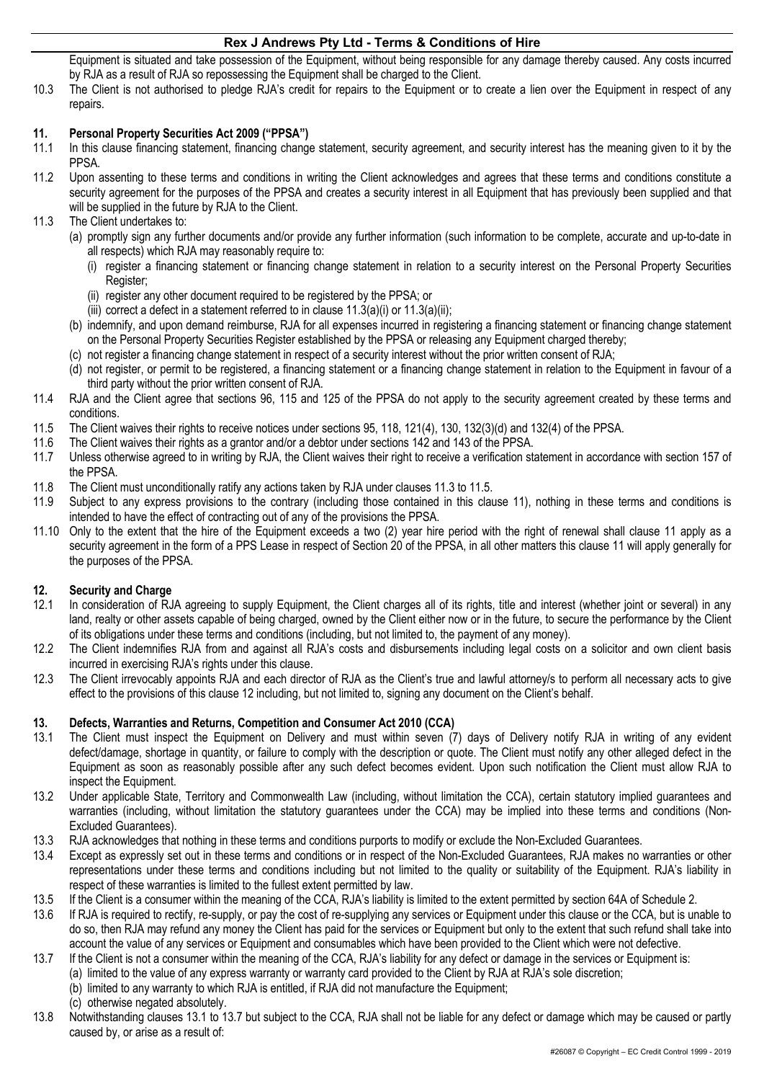Equipment is situated and take possession of the Equipment, without being responsible for any damage thereby caused. Any costs incurred by RJA as a result of RJA so repossessing the Equipment shall be charged to the Client.

10.3 The Client is not authorised to pledge RJA's credit for repairs to the Equipment or to create a lien over the Equipment in respect of any repairs.

# **11. Personal Property Securities Act 2009 ("PPSA")**

- In this clause financing statement, financing change statement, security agreement, and security interest has the meaning given to it by the PPSA.
- 11.2 Upon assenting to these terms and conditions in writing the Client acknowledges and agrees that these terms and conditions constitute a security agreement for the purposes of the PPSA and creates a security interest in all Equipment that has previously been supplied and that will be supplied in the future by RJA to the Client.
- 11.3 The Client undertakes to:
	- (a) promptly sign any further documents and/or provide any further information (such information to be complete, accurate and up-to-date in all respects) which RJA may reasonably require to:
		- (i) register a financing statement or financing change statement in relation to a security interest on the Personal Property Securities Register;
		- (ii) register any other document required to be registered by the PPSA; or
		- (iii) correct a defect in a statement referred to in clause  $11.3(a)(i)$  or  $11.3(a)(ii)$ ;
	- (b) indemnify, and upon demand reimburse, RJA for all expenses incurred in registering a financing statement or financing change statement on the Personal Property Securities Register established by the PPSA or releasing any Equipment charged thereby;
	- (c) not register a financing change statement in respect of a security interest without the prior written consent of RJA;
	- (d) not register, or permit to be registered, a financing statement or a financing change statement in relation to the Equipment in favour of a third party without the prior written consent of RJA.
- 11.4 RJA and the Client agree that sections 96, 115 and 125 of the PPSA do not apply to the security agreement created by these terms and conditions.
- 11.5 The Client waives their rights to receive notices under sections 95, 118, 121(4), 130, 132(3)(d) and 132(4) of the PPSA.
- 11.6 The Client waives their rights as a grantor and/or a debtor under sections 142 and 143 of the PPSA.
- 11.7 Unless otherwise agreed to in writing by RJA, the Client waives their right to receive a verification statement in accordance with section 157 of the PPSA.
- 11.8 The Client must unconditionally ratify any actions taken by RJA under clauses 11.3 to 11.5.
- 11.9 Subject to any express provisions to the contrary (including those contained in this clause 11), nothing in these terms and conditions is intended to have the effect of contracting out of any of the provisions the PPSA.
- 11.10 Only to the extent that the hire of the Equipment exceeds a two (2) year hire period with the right of renewal shall clause 11 apply as a security agreement in the form of a PPS Lease in respect of Section 20 of the PPSA, in all other matters this clause 11 will apply generally for the purposes of the PPSA.

## **12. Security and Charge**

- 12.1 In consideration of RJA agreeing to supply Equipment, the Client charges all of its rights, title and interest (whether joint or several) in any land, realty or other assets capable of being charged, owned by the Client either now or in the future, to secure the performance by the Client of its obligations under these terms and conditions (including, but not limited to, the payment of any money).
- 12.2 The Client indemnifies RJA from and against all RJA's costs and disbursements including legal costs on a solicitor and own client basis incurred in exercising RJA's rights under this clause.
- 12.3 The Client irrevocably appoints RJA and each director of RJA as the Client's true and lawful attorney/s to perform all necessary acts to give effect to the provisions of this clause 12 including, but not limited to, signing any document on the Client's behalf.

## **13. Defects, Warranties and Returns, Competition and Consumer Act 2010 (CCA)**

- 13.1 The Client must inspect the Equipment on Delivery and must within seven (7) days of Delivery notify RJA in writing of any evident defect/damage, shortage in quantity, or failure to comply with the description or quote. The Client must notify any other alleged defect in the Equipment as soon as reasonably possible after any such defect becomes evident. Upon such notification the Client must allow RJA to inspect the Equipment.
- 13.2 Under applicable State, Territory and Commonwealth Law (including, without limitation the CCA), certain statutory implied guarantees and warranties (including, without limitation the statutory guarantees under the CCA) may be implied into these terms and conditions (Non-Excluded Guarantees).
- 13.3 RJA acknowledges that nothing in these terms and conditions purports to modify or exclude the Non-Excluded Guarantees.
- 13.4 Except as expressly set out in these terms and conditions or in respect of the Non-Excluded Guarantees, RJA makes no warranties or other representations under these terms and conditions including but not limited to the quality or suitability of the Equipment. RJA's liability in respect of these warranties is limited to the fullest extent permitted by law.
- 13.5 If the Client is a consumer within the meaning of the CCA, RJA's liability is limited to the extent permitted by section 64A of Schedule 2.
- 13.6 If RJA is required to rectify, re-supply, or pay the cost of re-supplying any services or Equipment under this clause or the CCA, but is unable to do so, then RJA may refund any money the Client has paid for the services or Equipment but only to the extent that such refund shall take into account the value of any services or Equipment and consumables which have been provided to the Client which were not defective.
- 13.7 If the Client is not a consumer within the meaning of the CCA, RJA's liability for any defect or damage in the services or Equipment is:
	- (a) limited to the value of any express warranty or warranty card provided to the Client by RJA at RJA's sole discretion;
	- (b) limited to any warranty to which RJA is entitled, if RJA did not manufacture the Equipment;
		- (c) otherwise negated absolutely.
- 13.8 Notwithstanding clauses 13.1 to 13.7 but subject to the CCA, RJA shall not be liable for any defect or damage which may be caused or partly caused by, or arise as a result of: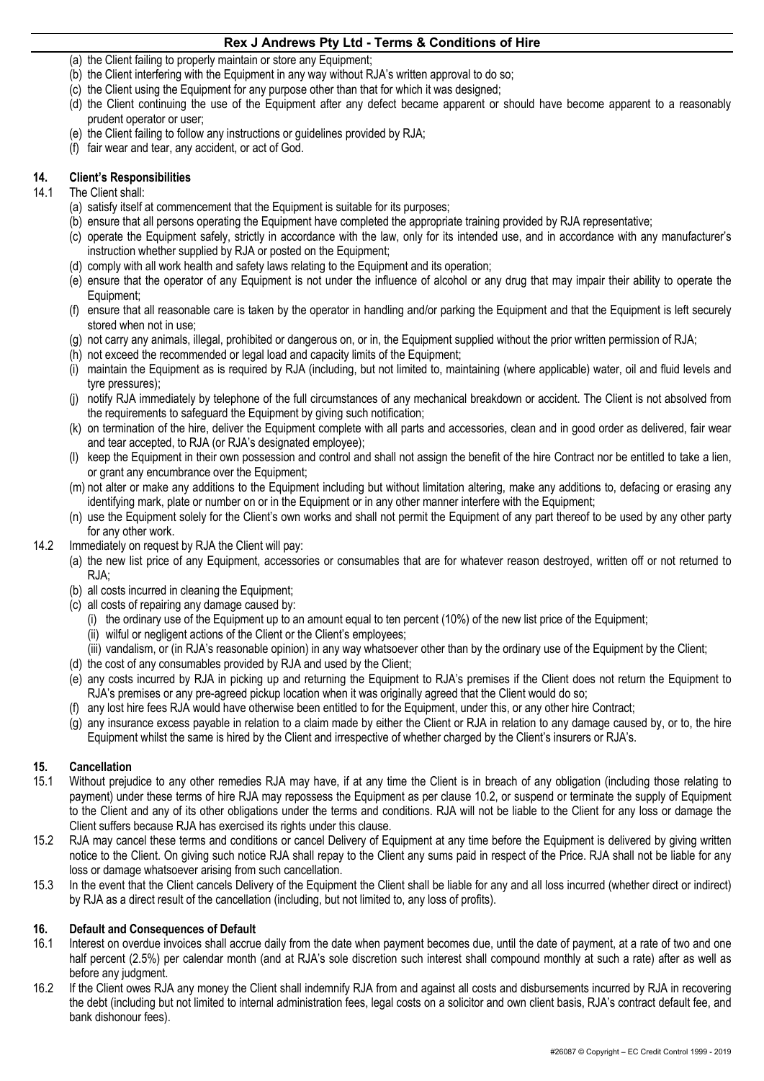- (a) the Client failing to properly maintain or store any Equipment;
- (b) the Client interfering with the Equipment in any way without RJA's written approval to do so;
- (c) the Client using the Equipment for any purpose other than that for which it was designed;
- (d) the Client continuing the use of the Equipment after any defect became apparent or should have become apparent to a reasonably prudent operator or user;
- (e) the Client failing to follow any instructions or guidelines provided by RJA;
- (f) fair wear and tear, any accident, or act of God.

## **14. Client's Responsibilities**

- 14.1 The Client shall:
	- (a) satisfy itself at commencement that the Equipment is suitable for its purposes;
	- (b) ensure that all persons operating the Equipment have completed the appropriate training provided by RJA representative;
	- (c) operate the Equipment safely, strictly in accordance with the law, only for its intended use, and in accordance with any manufacturer's instruction whether supplied by RJA or posted on the Equipment;
	- (d) comply with all work health and safety laws relating to the Equipment and its operation;
	- (e) ensure that the operator of any Equipment is not under the influence of alcohol or any drug that may impair their ability to operate the Equipment;
	- (f) ensure that all reasonable care is taken by the operator in handling and/or parking the Equipment and that the Equipment is left securely stored when not in use;
	- (g) not carry any animals, illegal, prohibited or dangerous on, or in, the Equipment supplied without the prior written permission of RJA;
	- (h) not exceed the recommended or legal load and capacity limits of the Equipment;
	- (i) maintain the Equipment as is required by RJA (including, but not limited to, maintaining (where applicable) water, oil and fluid levels and tyre pressures);
	- (j) notify RJA immediately by telephone of the full circumstances of any mechanical breakdown or accident. The Client is not absolved from the requirements to safeguard the Equipment by giving such notification;
	- (k) on termination of the hire, deliver the Equipment complete with all parts and accessories, clean and in good order as delivered, fair wear and tear accepted, to RJA (or RJA's designated employee);
	- (l) keep the Equipment in their own possession and control and shall not assign the benefit of the hire Contract nor be entitled to take a lien, or grant any encumbrance over the Equipment;
	- (m) not alter or make any additions to the Equipment including but without limitation altering, make any additions to, defacing or erasing any identifying mark, plate or number on or in the Equipment or in any other manner interfere with the Equipment;
	- (n) use the Equipment solely for the Client's own works and shall not permit the Equipment of any part thereof to be used by any other party for any other work.
- 14.2 Immediately on request by RJA the Client will pay:
	- (a) the new list price of any Equipment, accessories or consumables that are for whatever reason destroyed, written off or not returned to RJA;
	- (b) all costs incurred in cleaning the Equipment;
	- (c) all costs of repairing any damage caused by:
		- (i) the ordinary use of the Equipment up to an amount equal to ten percent (10%) of the new list price of the Equipment;
		- (ii) wilful or negligent actions of the Client or the Client's employees;
		- (iii) vandalism, or (in RJA's reasonable opinion) in any way whatsoever other than by the ordinary use of the Equipment by the Client;
	- (d) the cost of any consumables provided by RJA and used by the Client;
	- (e) any costs incurred by RJA in picking up and returning the Equipment to RJA's premises if the Client does not return the Equipment to RJA's premises or any pre-agreed pickup location when it was originally agreed that the Client would do so;
	- (f) any lost hire fees RJA would have otherwise been entitled to for the Equipment, under this, or any other hire Contract;
	- (g) any insurance excess payable in relation to a claim made by either the Client or RJA in relation to any damage caused by, or to, the hire Equipment whilst the same is hired by the Client and irrespective of whether charged by the Client's insurers or RJA's.

# **15. Cancellation**

- 15.1 Without prejudice to any other remedies RJA may have, if at any time the Client is in breach of any obligation (including those relating to payment) under these terms of hire RJA may repossess the Equipment as per clause 10.2, or suspend or terminate the supply of Equipment to the Client and any of its other obligations under the terms and conditions. RJA will not be liable to the Client for any loss or damage the Client suffers because RJA has exercised its rights under this clause.
- 15.2 RJA may cancel these terms and conditions or cancel Delivery of Equipment at any time before the Equipment is delivered by giving written notice to the Client. On giving such notice RJA shall repay to the Client any sums paid in respect of the Price. RJA shall not be liable for any loss or damage whatsoever arising from such cancellation.
- 15.3 In the event that the Client cancels Delivery of the Equipment the Client shall be liable for any and all loss incurred (whether direct or indirect) by RJA as a direct result of the cancellation (including, but not limited to, any loss of profits).

#### **16. Default and Consequences of Default**

- 16.1 Interest on overdue invoices shall accrue daily from the date when payment becomes due, until the date of payment, at a rate of two and one half percent (2.5%) per calendar month (and at RJA's sole discretion such interest shall compound monthly at such a rate) after as well as before any judgment.
- 16.2 If the Client owes RJA any money the Client shall indemnify RJA from and against all costs and disbursements incurred by RJA in recovering the debt (including but not limited to internal administration fees, legal costs on a solicitor and own client basis, RJA's contract default fee, and bank dishonour fees).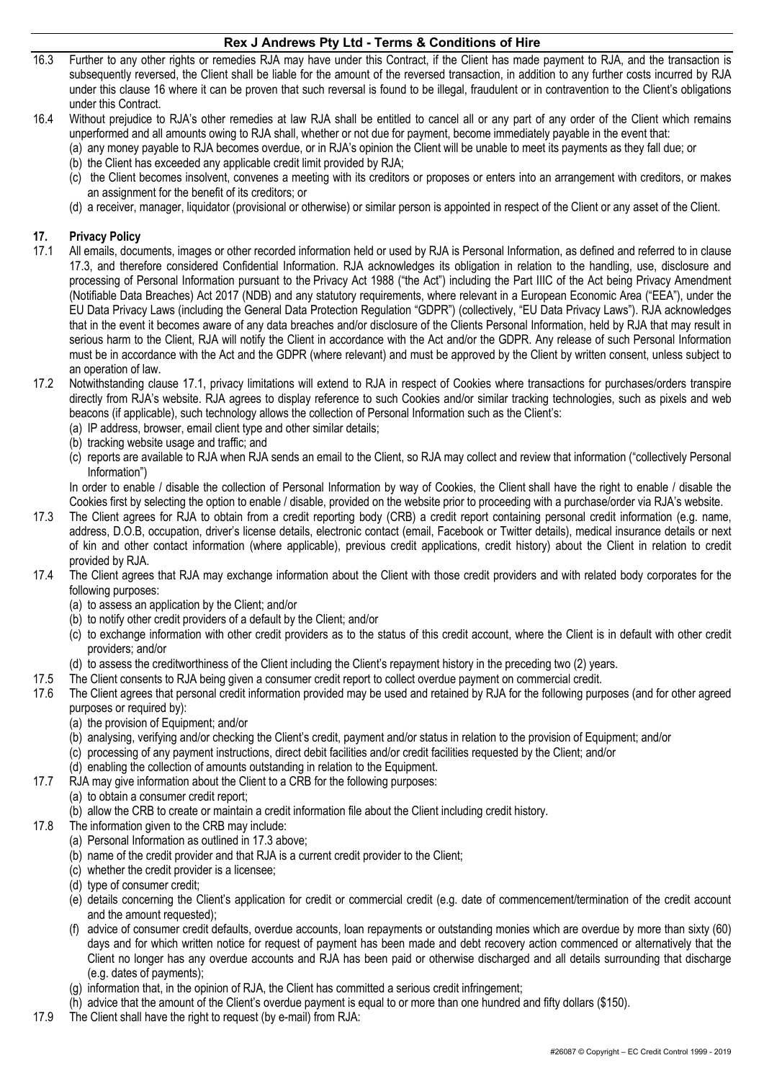- 16.3 Further to any other rights or remedies RJA may have under this Contract, if the Client has made payment to RJA, and the transaction is subsequently reversed, the Client shall be liable for the amount of the reversed transaction, in addition to any further costs incurred by RJA under this clause 16 where it can be proven that such reversal is found to be illegal, fraudulent or in contravention to the Client's obligations under this Contract.
- 16.4 Without prejudice to RJA's other remedies at law RJA shall be entitled to cancel all or any part of any order of the Client which remains unperformed and all amounts owing to RJA shall, whether or not due for payment, become immediately payable in the event that:
	- (a) any money payable to RJA becomes overdue, or in RJA's opinion the Client will be unable to meet its payments as they fall due; or (b) the Client has exceeded any applicable credit limit provided by RJA;
	- (c) the Client becomes insolvent, convenes a meeting with its creditors or proposes or enters into an arrangement with creditors, or makes an assignment for the benefit of its creditors; or
	- (d) a receiver, manager, liquidator (provisional or otherwise) or similar person is appointed in respect of the Client or any asset of the Client.

# **17. Privacy Policy**

- 17.1 All emails, documents, images or other recorded information held or used by RJA is Personal Information, as defined and referred to in clause 17.3, and therefore considered Confidential Information. RJA acknowledges its obligation in relation to the handling, use, disclosure and processing of Personal Information pursuant to the Privacy Act 1988 ("the Act") including the Part IIIC of the Act being Privacy Amendment (Notifiable Data Breaches) Act 2017 (NDB) and any statutory requirements, where relevant in a European Economic Area ("EEA"), under the EU Data Privacy Laws (including the General Data Protection Regulation "GDPR") (collectively, "EU Data Privacy Laws"). RJA acknowledges that in the event it becomes aware of any data breaches and/or disclosure of the Clients Personal Information, held by RJA that may result in serious harm to the Client, RJA will notify the Client in accordance with the Act and/or the GDPR. Any release of such Personal Information must be in accordance with the Act and the GDPR (where relevant) and must be approved by the Client by written consent, unless subject to an operation of law.
- 17.2 Notwithstanding clause 17.1, privacy limitations will extend to RJA in respect of Cookies where transactions for purchases/orders transpire directly from RJA's website. RJA agrees to display reference to such Cookies and/or similar tracking technologies, such as pixels and web beacons (if applicable), such technology allows the collection of Personal Information such as the Client's:
	- (a) IP address, browser, email client type and other similar details;
	- (b) tracking website usage and traffic; and
	- (c) reports are available to RJA when RJA sends an email to the Client, so RJA may collect and review that information ("collectively Personal Information")

In order to enable / disable the collection of Personal Information by way of Cookies, the Client shall have the right to enable / disable the Cookies first by selecting the option to enable / disable, provided on the website prior to proceeding with a purchase/order via RJA's website.

- 17.3 The Client agrees for RJA to obtain from a credit reporting body (CRB) a credit report containing personal credit information (e.g. name, address, D.O.B, occupation, driver's license details, electronic contact (email, Facebook or Twitter details), medical insurance details or next of kin and other contact information (where applicable), previous credit applications, credit history) about the Client in relation to credit provided by RJA.
- 17.4 The Client agrees that RJA may exchange information about the Client with those credit providers and with related body corporates for the following purposes:
	- (a) to assess an application by the Client; and/or
	- (b) to notify other credit providers of a default by the Client; and/or
	- (c) to exchange information with other credit providers as to the status of this credit account, where the Client is in default with other credit providers; and/or
	- (d) to assess the creditworthiness of the Client including the Client's repayment history in the preceding two (2) years.
- 17.5 The Client consents to RJA being given a consumer credit report to collect overdue payment on commercial credit.
- 17.6 The Client agrees that personal credit information provided may be used and retained by RJA for the following purposes (and for other agreed purposes or required by):
	- (a) the provision of Equipment; and/or
	- (b) analysing, verifying and/or checking the Client's credit, payment and/or status in relation to the provision of Equipment; and/or
	- (c) processing of any payment instructions, direct debit facilities and/or credit facilities requested by the Client; and/or
	- (d) enabling the collection of amounts outstanding in relation to the Equipment.
- 17.7 RJA may give information about the Client to a CRB for the following purposes:
	- (a) to obtain a consumer credit report;
	- (b) allow the CRB to create or maintain a credit information file about the Client including credit history.
- 17.8 The information given to the CRB may include:
	- (a) Personal Information as outlined in 17.3 above;
	- (b) name of the credit provider and that RJA is a current credit provider to the Client;
	- (c) whether the credit provider is a licensee;
	- (d) type of consumer credit;
	- (e) details concerning the Client's application for credit or commercial credit (e.g. date of commencement/termination of the credit account and the amount requested);
	- (f) advice of consumer credit defaults, overdue accounts, loan repayments or outstanding monies which are overdue by more than sixty (60) days and for which written notice for request of payment has been made and debt recovery action commenced or alternatively that the Client no longer has any overdue accounts and RJA has been paid or otherwise discharged and all details surrounding that discharge (e.g. dates of payments);
	- (g) information that, in the opinion of RJA, the Client has committed a serious credit infringement;
	- (h) advice that the amount of the Client's overdue payment is equal to or more than one hundred and fifty dollars (\$150).
- 17.9 The Client shall have the right to request (by e-mail) from RJA: